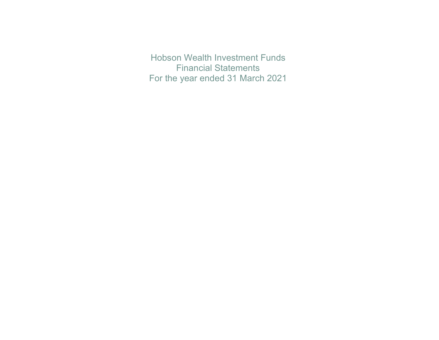Hobson Wealth Investment Funds Financial Statements For the year ended 31 March 2021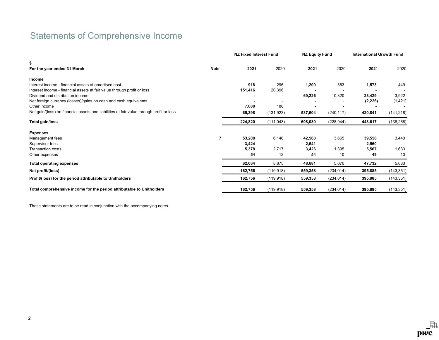# Statements of Comprehensive Income

|                                                                                          |             | <b>NZ Fixed Interest Fund</b> |            | <b>NZ Equity Fund</b> |            | <b>International Growth Fund</b> |            |
|------------------------------------------------------------------------------------------|-------------|-------------------------------|------------|-----------------------|------------|----------------------------------|------------|
| \$<br>For the year ended 31 March                                                        | <b>Note</b> | 2021                          | 2020       | 2021                  | 2020       | 2021                             | 2020       |
| <b>Income</b>                                                                            |             |                               |            |                       |            |                                  |            |
| Interest income - financial assets at amortised cost                                     |             | 918                           | 296        | 1,209                 | 353        | 1,573                            | 449        |
| Interest income - financial assets at fair value through profit or loss                  |             | 151,416                       | 20,396     |                       |            |                                  |            |
| Dividend and distribution income                                                         |             |                               |            | 69,226                | 10,820     | 23,429                           | 3,922      |
| Net foreign currency (losses)/gains on cash and cash equivalents                         |             |                               |            |                       |            | (2, 226)                         | (1,421)    |
| Other income                                                                             |             | 7,088                         | 188        |                       |            |                                  |            |
| Net gain/(loss) on financial assets and liabilities at fair value through profit or loss |             | 65,398                        | (131, 923) | 537,604               | (240, 117) | 420,841                          | (141, 218) |
| Total gain/loss                                                                          |             | 224,820                       | (111, 043) | 608,039               | (228, 944) | 443,617                          | (138, 268) |
| <b>Expenses</b>                                                                          |             |                               |            |                       |            |                                  |            |
| Management fees                                                                          | 7           | 53,208                        | 6,146      | 42,560                | 3,665      | 39,556                           | 3,440      |
| Supervisor fees                                                                          |             | 3,424                         |            | 2,641                 |            | 2,560                            |            |
| Transaction costs                                                                        |             | 5,378                         | 2,717      | 3,426                 | 1,395      | 5,567                            | 1,633      |
| Other expenses                                                                           |             | 54                            | 12         | 54                    | 10         | 49                               | 10         |
| <b>Total operating expenses</b>                                                          |             | 62,064                        | 8,875      | 48,681                | 5,070      | 47,732                           | 5,083      |
| Net profit/(loss)                                                                        |             | 162,756                       | (119, 918) | 559,358               | (234, 014) | 395,885                          | (143, 351) |
| Profit/(loss) for the period attributable to Unitholders                                 |             | 162,756                       | (119, 918) | 559,358               | (234, 014) | 395,885                          | (143, 351) |
| Total comprehensive income for the period attributable to Unitholders                    |             | 162,756                       | (119, 918) | 559,358               | (234, 014) | 395,885                          | (143, 351) |

These statements are to be read in conjunction with the accompanying notes.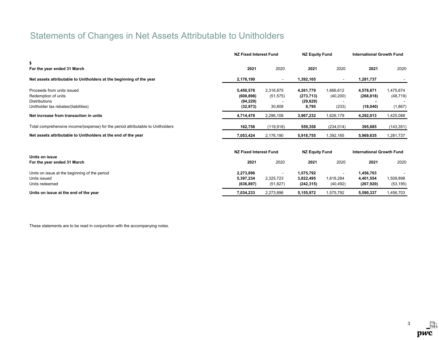# Statements of Changes in Net Assets Attributable to Unitholders

|                                                                                                                   |                                                   | NZ Fixed Interest Fund           |                                               | <b>NZ Equity Fund</b>           |                                      | <b>International Growth Fund</b>  |  |
|-------------------------------------------------------------------------------------------------------------------|---------------------------------------------------|----------------------------------|-----------------------------------------------|---------------------------------|--------------------------------------|-----------------------------------|--|
| \$<br>For the year ended 31 March                                                                                 | 2021                                              | 2020                             | 2021                                          | 2020                            | 2021                                 | 2020                              |  |
| Net assets attributable to Unitholders at the beginning of the year                                               | 2,176,190                                         | $\overline{\phantom{a}}$         | 1,392,165                                     | $\overline{\phantom{a}}$        | 1,281,737                            |                                   |  |
| Proceeds from units issued<br>Redemption of units<br><b>Distributions</b><br>Unitholder tax rebates/(liabilities) | 5,450,578<br>(608, 898)<br>(94, 229)<br>(32, 973) | 2,316,875<br>(51, 575)<br>30,808 | 4,261,779<br>(273, 713)<br>(29, 629)<br>8,795 | 1,666,612<br>(40, 200)<br>(233) | 4,578,871<br>(268, 818)<br>(18,040)  | 1,475,674<br>(48, 719)<br>(1,867) |  |
| Net increase from transaction in units                                                                            | 4,714,478                                         | 2,296,108                        | 3,967,232                                     | 1,626,179                       | 4,292,013                            | 1,425,088                         |  |
| Total comprehensive income/(expense) for the period attributable to Unitholders                                   | 162,756                                           | (119, 918)                       | 559,358                                       | (234, 014)                      | 395,885                              | (143, 351)                        |  |
| Net assets attributable to Unitholders at the end of the year                                                     | 7,053,424                                         | 2,176,190                        | 5,918,755                                     | 1,392,165                       | 5,969,635                            | 1,281,737                         |  |
| Units on issue                                                                                                    | NZ Fixed Interest Fund                            |                                  | <b>NZ Equity Fund</b>                         |                                 | <b>International Growth Fund</b>     |                                   |  |
| For the year ended 31 March                                                                                       | 2021                                              | 2020                             | 2021                                          | 2020                            | 2021                                 | 2020                              |  |
| Units on issue at the beginning of the period<br>Units issued<br>Units redeemed                                   | 2,273,896<br>5,397,234<br>(636, 897)              | 2,325,723<br>(51, 827)           | 1,575,792<br>3,822,495<br>(242, 315)          | 1,616,284<br>(40, 492)          | 1,456,703<br>4,401,554<br>(267, 920) | 1,509,898<br>(53, 195)            |  |
| Units on issue at the end of the year                                                                             | 7,034,233                                         | 2,273,896                        | 5,155,972                                     | 1,575,792                       | 5,590,337                            | 1,456,703                         |  |

These statements are to be read in conjunction with the accompanying notes.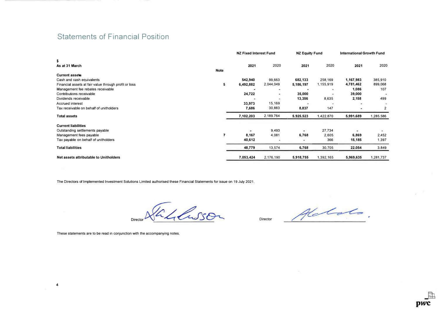# Statements of Financial Position

|                                                                                    |                         | <b>NZ Fixed Interest Fund</b> |                               | <b>NZ Equity Fund</b> |                      | <b>International Growth Fund</b> |                    |
|------------------------------------------------------------------------------------|-------------------------|-------------------------------|-------------------------------|-----------------------|----------------------|----------------------------------|--------------------|
| \$<br>As at 31 March<br><b>Note</b>                                                |                         | 2021                          | 2020                          | 2021                  | 2020                 | 2021                             | 2020               |
| <b>Current assets</b>                                                              |                         |                               |                               |                       |                      |                                  |                    |
| Cash and cash equivalents<br>Financial assets at fair value through profit or loss | 5                       | 542,940<br>6,492,882          | 99,663<br>2,044,049           | 682,133<br>5,186,197  | 258,169<br>1,155,919 | 1,167,983<br>4,781,462           | 385,910<br>899,068 |
| Management fee rebates receivable                                                  |                         |                               | ۰                             |                       |                      | 1,086                            | 107                |
| Contributions receivable<br>Dividends receivable                                   |                         | 24,722                        | ۰<br>$\overline{\phantom{a}}$ | 35,000<br>13,356      | 8,635                | 39,000<br>2,158                  | 499                |
| <b>Accrued interest</b>                                                            |                         | 33,973                        | 15,169                        |                       |                      |                                  |                    |
| Tax receivable on behalf of unitholders                                            |                         | 7,686                         | 30,883                        | 8,837                 | 147                  |                                  | 2                  |
| <b>Total assets</b>                                                                |                         | 7,102,203                     | 2.189.764                     | 5,925,523             | 1,422,870            | 5,991,689                        | 1,285,586          |
| <b>Current liabilities</b>                                                         |                         |                               |                               |                       |                      |                                  |                    |
| Outstanding settlements payable                                                    |                         | ۰                             | 9,493                         | ۰                     | 27,734               | ۰.                               | $\rightarrow$      |
| Management fees payable                                                            | $\overline{\mathbf{z}}$ | 8,167                         | 4,081                         | 6,768                 | 2,605                | 6,869                            | 2,452              |
| Tax payable on behalf of unitholders                                               |                         | 40,612                        |                               |                       | 366                  | 15,185                           | 1.397              |
| <b>Total liabilities</b>                                                           |                         | 48,779                        | 13,574                        | 6,768                 | 30,705               | 22.054                           | 3,849              |
| Net assets attributable to Unitholders                                             |                         | 7,053,424                     | 2,176,190                     | 5,918,755             | 1,392,165            | 5,969,635                        | 1,281,737          |

The Directors of Implemented Investment Solutions Limited authorised these Financial Statements for issue on 19 July 2021.

Tablesson Director

Director  $Alc$ 

These statements are to be read in conjunction with the accompanying notes.

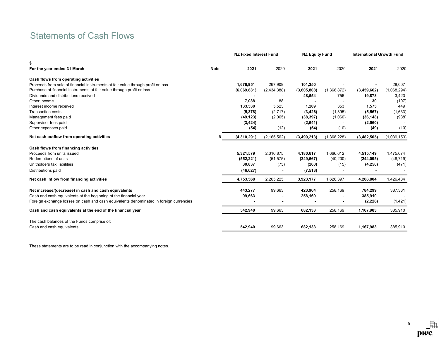# Statements of Cash Flows

|                                                                                        |  | <b>NZ Fixed Interest Fund</b> |               | <b>NZ Equity Fund</b> |             | <b>International Growth Fund</b> |             |
|----------------------------------------------------------------------------------------|--|-------------------------------|---------------|-----------------------|-------------|----------------------------------|-------------|
| \$                                                                                     |  |                               |               |                       |             |                                  |             |
| <b>Note</b><br>For the year ended 31 March                                             |  | 2021                          | 2020          | 2021                  | 2020        | 2021                             | 2020        |
| Cash flows from operating activities                                                   |  |                               |               |                       |             |                                  |             |
| Proceeds from sale of financial instruments at fair value through profit or loss       |  | 1,676,951                     | 267,909       | 101,350               |             |                                  | 28,007      |
| Purchase of financial instruments at fair value through profit or loss                 |  | (6,069,881)                   | (2,434,388)   | (3,605,808)           | (1,366,872) | (3,459,662)                      | (1,068,294) |
| Dividends and distributions received                                                   |  |                               |               | 48,554                | 756         | 19,878                           | 3,423       |
| Other income                                                                           |  | 7,088                         | 188           |                       |             | 30                               | (107)       |
| Interest income received                                                               |  | 133,530                       | 5,523         | 1,209                 | 353         | 1,573                            | 449         |
| <b>Transaction costs</b>                                                               |  | (5,378)                       | (2,717)       | (3, 426)              | (1, 395)    | (5, 567)                         | (1,633)     |
| Management fees paid                                                                   |  | (49, 123)                     | (2,065)       | (38, 397)             | (1,060)     | (36, 148)                        | (988)       |
| Supervisor fees paid                                                                   |  | (3, 424)                      |               | (2,641)               |             | (2,560)                          |             |
| Other expenses paid                                                                    |  | (54)                          | (12)          | (54)                  | (10)        | (49)                             | (10)        |
| Net cash outflow from operating activities                                             |  | (4,310,291)                   | (2, 165, 562) | (3,499,213)           | (1,368,228) | (3,482,505)                      | (1,039,153) |
| Cash flows from financing activities                                                   |  |                               |               |                       |             |                                  |             |
| Proceeds from units issued                                                             |  | 5,321,579                     | 2,316,875     | 4,180,617             | 1,666,612   | 4,515,149                        | 1,475,674   |
| Redemptions of units                                                                   |  | (552, 221)                    | (51, 575)     | (249, 667)            | (40, 200)   | (244, 095)                       | (48, 719)   |
| Unitholders tax liabilities                                                            |  | 30,837                        | (75)          | (260)                 | (15)        | (4, 250)                         | (471)       |
| Distributions paid                                                                     |  | (46, 627)                     |               | (7, 513)              |             |                                  |             |
| Net cash inflow from financing activities                                              |  | 4,753,568                     | 2,265,225     | 3,923,177             | 1,626,397   | 4,266,804                        | 1,426,484   |
| Net increase/(decrease) in cash and cash equivalents                                   |  | 443,277                       | 99,663        | 423,964               | 258,169     | 784,299                          | 387,331     |
| Cash and cash equivalents at the beginning of the financial year                       |  | 99,663                        |               | 258,169               |             | 385,910                          |             |
| Foreign exchange losses on cash and cash equivalents denominated in foreign currencies |  |                               |               |                       |             | (2, 226)                         | (1,421)     |
| Cash and cash equivalents at the end of the financial year                             |  | 542,940                       | 99,663        | 682,133               | 258,169     | 1,167,983                        | 385,910     |
| The cash balances of the Funds comprise of:                                            |  |                               |               |                       |             |                                  |             |
| Cash and cash equivalents                                                              |  | 542,940                       | 99,663        | 682,133               | 258,169     | 1,167,983                        | 385,910     |

These statements are to be read in conjunction with the accompanying notes.

5晶 pwc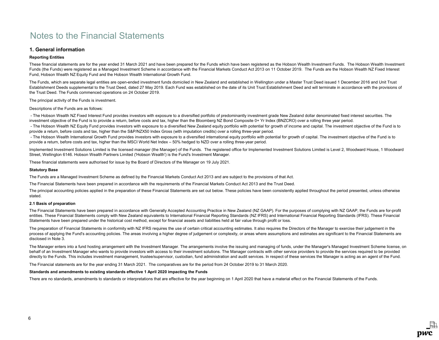# 1. General information

### Reporting Entities

These financial statements are for the year ended 31 March 2021 and have been prepared for the Funds which have been registered as the Hobson Wealth Investment Funds. The Hobson Wealth Investment Funds (the Funds) were registered as a Managed Investment Scheme in accordance with the Financial Markets Conduct Act 2013 on 11 October 2019. The Funds are the Hobson Wealth NZ Fixed Interest Fund, Hobson Wealth NZ Equity Fund and the Hobson Wealth International Growth Fund.

The Funds, which are separate legal entities are open-ended investment funds domiciled in New Zealand and established in Wellington under a Master Trust Deed issued 1 December 2016 and Unit Trust Establishment Deeds supplemental to the Trust Deed, dated 27 May 2019. Each Fund was established on the date of its Unit Trust Establishment Deed and will terminate in accordance with the provisions of the Trust Deed. The Funds commenced operations on 24 October 2019.

The principal activity of the Funds is investment.

Descriptions of the Funds are as follows:

 - The Hobson Wealth NZ Fixed Interest Fund provides investors with exposure to a diversified portfolio of predominantly investment grade New Zealand dollar denominated fixed interest securities. The investment objective of the Fund is to provide a return, before costs and tax, higher than the Bloomberg NZ Bond Composite 0+ Yr Index (BNZCRO) over a rolling three year period.

- The Hobson Wealth NZ Equity Fund provides investors with exposure to a diversified New Zealand equity portfolio with potential for growth of income and capital. The investment objective of the Fund is to provide a return, before costs and tax, higher than the S&P/NZX50 Index Gross (with imputation credits) over a rolling three-year period.

 - The Hobson Wealth International Growth Fund provides investors with exposure to a diversified international equity portfolio with potential for growth of capital. The investment objective of the Fund is to provide a return, before costs and tax, higher than the MSCI World Net Index – 50% hedged to NZD over a rolling three-year period.

Implemented Investment Solutions Limited is the licensed manager (the Manager) of the Funds. The registered office for Implemented Investment Solutions Limited is Level 2, Woodward House, 1 Woodward Street, Wellington 6146. Hobson Wealth Partners Limited ('Hobson Wealth') is the Fund's Investment Manager.

These financial statements were authorised for issue by the Board of Directors of the Manager on 19 July 2021.

#### Statutory Base

The Funds are a Managed Investment Scheme as defined by the Financial Markets Conduct Act 2013 and are subject to the provisions of that Act.

The Financial Statements have been prepared in accordance with the requirements of the Financial Markets Conduct Act 2013 and the Trust Deed.

The principal accounting policies applied in the preparation of these Financial Statements are set out below. These policies have been consistently applied throughout the period presented, unless otherwise stated.

### 2.1 Basis of preparation

The Financial Statements have been prepared in accordance with Generally Accepted Accounting Practice in New Zealand (NZ GAAP). For the purposes of complying with NZ GAAP, the Funds are for-profit entities. These Financial Statements comply with New Zealand equivalents to International Financial Reporting Standards (NZ IFRS) and International Financial Reporting Standards (IFRS). These Financial Statements have been prepared under the historical cost method, except for financial assets and liabilities held at fair value through profit or loss.

The preparation of Financial Statements in conformity with NZ IFRS requires the use of certain critical accounting estimates. It also requires the Directors of the Manager to exercise their judgement in the process of applying the Fund's accounting policies. The areas involving a higher degree of judgement or complexity, or areas where assumptions and estimates are significant to the Financial Statements are disclosed in Note 3.

The Manager enters into a fund hosting arrangement with the Investment Manager. The arrangements involve the issuing and managing of funds, under the Manager's Managed Investment Scheme license, on behalf of an Investment Manager who wants to provide investors with access to their investment solutions. The Manager contracts with other service providers to provide the services required to be provided directly to the Funds. This includes investment management, trustee/supervisor, custodian, fund administration and audit services. In respect of these services the Manager is acting as an agent of the Fund.

The Financial statements are for the year ending 31 March 2021. The comparatives are for the period from 24 October 2019 to 31 March 2020.

#### Standards and amendments to existing standards effective 1 April 2020 impacting the Funds

There are no standards, amendments to standards or interpretations that are effective for the vear beginning on 1 April 2020 that have a material effect on the Financial Statements of the Funds.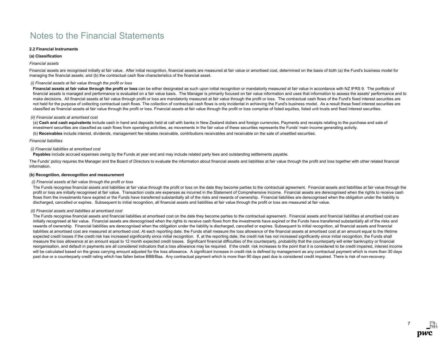### 2.2 Financial Instruments

### (a) Classification

### Financial assets

Financial assets are recognised initially at fair value. After initial recognition, financial assets are measured at fair value or amortised cost, determined on the basis of both (a) the Fund's business model for managing the financial assets; and (b) the contractual cash flow characteristics of the financial asset.

### (i) Financial assets at fair value through the profit or loss

Financial assets at fair value through the profit or loss can be either designated as such upon initial recognition or mandatorily measured at fair value in accordance with NZ IFRS 9. The portfolio of financial assets is managed and performance is evaluated on a fair value basis. The Manager is primarily focused on fair value information and uses that information to assess the assets' performance and to make decisions. All financial assets at fair value through profit or loss are mandatorily measured at fair value through the profit or loss. The contractual cash flows of the Fund's fixed interest securities are not held for the purpose of collecting contractual cash flows. The collection of contractual cash flows is only incidental in achieving the Fund's business model. As a result these fixed interest securities are classified as financial assets at fair value through the profit or loss. Financial assets at fair value through the profit or loss comprise of listed equities, listed unit trusts and fixed interest securities.

#### (ii) Financial assets at amortised cost

(a) Cash and cash equivalents include cash in hand and deposits held at call with banks in New Zealand dollars and foreign currencies. Payments and receipts relating to the purchase and sale of investment securities are classified as cash flows from operating activities, as movements in the fair value of these securities represents the Funds' main income generating activity.

(b) Receivables include interest, dividends, management fee rebates receivable, contributions receivables and receivable on the sale of unsettled securities.

### Financial liabilities

### (i) Financial liabilities at amortised cost

Payables include accrued expenses owing by the Funds at year end and may include related party fees and outstanding settlements payable.

The Funds' policy requires the Manager and the Board of Directors to evaluate the information about financial assets and liabilities at fair value through the profit and loss together with other related financial information.

#### (b) Recognition, derecognition and measurement

### (i) Financial assets at fair value through the profit or loss

The Funds recognise financial assets and liabilities at fair value through the profit or loss on the date they become parties to the contractual agreement. Financial assets and liabilities at fair value through the profit or loss are initially recognised at fair value. Transaction costs are expenses as incurred in the Statement of Comprehensive Income. Financial assets are derecognised when the rights to receive cash flows from the investments have expired or the Funds have transferred substantially all of the risks and rewards of ownership. Financial liabilities are derecognised when the obligation under the liability is discharged, cancelled or expires. Subsequent to initial recognition, all financial assets and liabilities at fair value through the profit or loss are measured at fair value.

### (ii) Financial assets and liabilities at amortised cost

The Funds recognise financial assets and financial liabilities at amortised cost on the date they become parties to the contractual agreement. Financial assets and financial liabilities at amortised cost are initially recognised at fair value. Financial assets are derecognised when the rights to receive cash flows from the investments have expired or the Funds have transferred substantially all of the risks and rewards of ownership. Financial liabilities are derecognised when the obligation under the liability is discharged, cancelled or expires. Subsequent to initial recognition, all financial assets and financial liabilities at amortised cost are measured at amortised cost. At each reporting date, the Funds shall measure the loss allowance of the financial assets at amortised cost at an amount equal to the lifetime expected credit losses if the credit risk has increased significantly since initial recognition. If, at the reporting date, the credit risk has not increased significantly since initial recognition, the Funds shall measure the loss allowance at an amount equal to 12 month expected credit losses. Significant financial difficulties of the counterparty, probability that the counterparty will enter bankruptcy or financial reorganisation, and default in payments are all considered indicators that a loss allowance may be required. If the credit risk increases to the point that it is considered to be credit impaired, interest income will be calculated based on the gross carrying amount adjusted for the loss allowance. A significant increase in credit risk is defined by management as any contractual payment which is more than 30 days past due or a counterparty credit rating which has fallen below BBB/Baa. Any contractual payment which is more than 90 days past due is considered credit impaired. There is risk of non-recovery.

7

DWC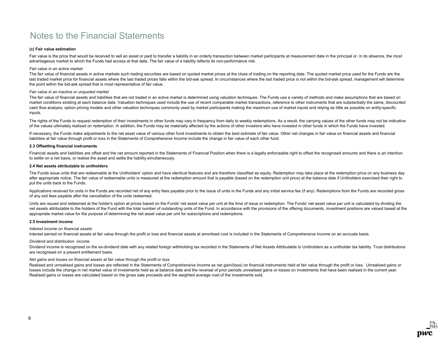### (c) Fair value estimation

Fair value is the price that would be received to sell an asset or paid to transfer a liability in an orderly transaction between market participants at measurement date in the principal or, in its absence, the most advantageous market to which the Funds had access at that date. The fair value of a liability reflects its non-performance risk.

#### Fair value in an active market

The fair value of financial assets in active markets such trading securities are based on quoted market prices at the close of trading on the reporting date. The quoted market price used for the Funds are the last traded market price for financial assets where the last traded prices falls within the bid-ask spread. In circumstances where the last traded price is not within the bid-ask spread, management will determine the point within the bid-ask spread that is most representative of fair value.

#### Fair value in an inactive or unquoted market

The fair value of financial assets and liabilities that are not traded in an active market is determined using valuation techniques. The Funds use a variety of methods and make assumptions that are based on market conditions existing at each balance date. Valuation techniques used include the use of recent comparable market transactions, reference to other instruments that are substantially the same, discounted cash flow analysis, option pricing models and other valuation techniques commonly used by market participants making the maximum use of market inputs and relying as little as possible on entity-specific inputs.

The rights of the Funds to request redemption of their investments in other funds may vary in frequency from daily to weekly redemptions. As a result, the carrying values of the other funds may not be indicative of the values ultimately realised on redemption. In addition, the Funds may be materially affected by the actions of other investors who have invested in other funds in which the Funds have invested.

If necessary, the Funds make adjustments to the net asset value of various other fund investments to obtain the best estimate of fair value. Other net changes in fair value on financial assets and financial liabilities at fair value through profit or loss in the Statements of Comprehensive Income include the change in fair value of each other fund.

#### 2.3 Offsetting financial instruments

Financial assets and liabilities are offset and the net amount reported in the Statements of Financial Position when there is a legally enforceable right to offset the recognised amounts and there is an intention to settle on a net basis, or realise the asset and settle the liability simultaneously.

#### 2.4 Net assets attributable to unitholders

The Funds issue units that are redeemable at the Unitholders' option and have identical features and are therefore classified as equity. Redemption may take place at the redemption price on any business day after appropriate notice. The fair value of redeemable units is measured at the redemption amount that is payable (based on the redemption unit price) at the balance date if Unitholders exercised their right to put the units back to the Funds.

Applications received for units in the Funds are recorded net of any entry fees payable prior to the issue of units in the Funds and any initial service fee (if any). Redemptions from the Funds are recorded gross of any exit fees payable after the cancellation of the units redeemed.

Units are issued and redeemed at the holder's option at prices based on the Funds' net asset value per unit at the time of issue or redemption. The Funds' net asset value per unit is calculated by dividing the net assets attributable to the holders of the Fund with the total number of outstanding units of the Fund. In accordance with the provisions of the offering documents, investment positions are valued based at the appropriate market value for the purpose of determining the net asset value per unit for subscriptions and redemptions.

### 2.5 Investment income

### Interest income on financial assets

Interest earned on financial assets at fair value through the profit or loss and financial assets at amortised cost is included in the Statements of Comprehensive Income on an accruals basis.

#### Dividend and distribution income

Dividend income is recognised on the ex-dividend date with any related foreign withholding tax recorded in the Statements of Net Assets Attributable to Unitholders as a unitholder tax liability. Trust distributions are recognised on a present entitlement basis.

### Net gains and losses on financial assets at fair value through the profit or loss

Realised and unrealised gains and losses are reflected in the Statements of Comprehensive Income as net gain/(loss) on financial instruments held at fair value through the profit or loss. Unrealised gains or losses include the change in net market value of investments held as at balance date and the reversal of prior periods unrealised gains or losses on investments that have been realised in the current year. Realised gains or losses are calculated based on the gross sale proceeds and the weighted average cost of the investments sold.

DWC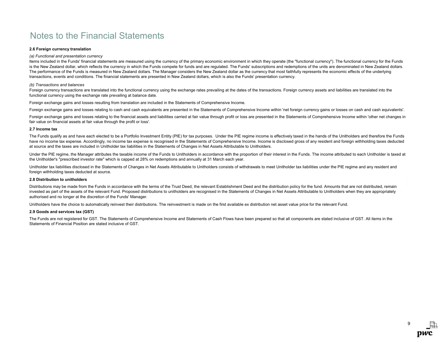### 2.6 Foreign currency translation

#### (a) Functional and presentation currency

Items included in the Funds' financial statements are measured using the currency of the primary economic environment in which they operate (the "functional currency"). The functional currency for the Funds is the New Zealand dollar, which reflects the currency in which the Funds compete for funds and are regulated. The Funds' subscriptions and redemptions of the units are denominated in New Zealand dollars. The performance of the Funds is measured in New Zealand dollars. The Manager considers the New Zealand dollar as the currency that most faithfully represents the economic effects of the underlying transactions, events and conditions. The financial statements are presented in New Zealand dollars, which is also the Funds' presentation currency.

#### (b) Transactions and balances

Foreign currency transactions are translated into the functional currency using the exchange rates prevailing at the dates of the transactions. Foreign currency assets and liabilities are translated into the functional currency using the exchange rate prevailing at balance date.

Foreign exchange gains and losses resulting from translation are included in the Statements of Comprehensive Income.

Foreign exchange gains and losses relating to cash and cash equivalents are presented in the Statements of Comprehensive Income within 'net foreign currency gains or losses on cash and cash equivalents'.

Foreign exchange gains and losses relating to the financial assets and liabilities carried at fair value through profit or loss are presented in the Statements of Comprehensive Income within 'other net changes in fair value on financial assets at fair value through the profit or loss'.

#### 2.7 Income tax

The Funds qualify as and have each elected to be a Portfolio Investment Entity (PIE) for tax purposes. Under the PIE regime income is effectively taxed in the hands of the Unitholders and therefore the Funds have no income tax expense. Accordingly, no income tax expense is recognised in the Statements of Comprehensive Income. Income is disclosed gross of any resident and foreign withholding taxes deducted at source and the taxes are included in Unitholder tax liabilities in the Statements of Changes in Net Assets Attributable to Unitholders.

Under the PIE regime, the Manager attributes the taxable income of the Funds to Unitholders in accordance with the proportion of their interest in the Funds. The income attributed to each Unitholder is taxed at the Unitholder's "prescribed investor rate" which is capped at 28% on redemptions and annually at 31 March each year.

Unitholder tax liabilities disclosed in the Statements of Changes in Net Assets Attributable to Unitholders consists of withdrawals to meet Unitholder tax liabilities under the PIE regime and any resident and foreign withholding taxes deducted at source.

### 2.8 Distribution to unitholders

Distributions may be made from the Funds in accordance with the terms of the Trust Deed, the relevant Establishment Deed and the distribution policy for the fund. Amounts that are not distributed, remain invested as part of the assets of the relevant Fund. Proposed distributions to unitholders are recognised in the Statements of Changes in Net Assets Attributable to Unitholders when they are appropriately authorised and no longer at the discretion of the Funds' Manager.

Unitholders have the choice to automatically reinvest their distributions. The reinvestment is made on the first available ex distribution net asset value price for the relevant Fund.

### 2.9 Goods and services tax (GST)

The Funds are not registered for GST. The Statements of Comprehensive Income and Statements of Cash Flows have been prepared so that all components are stated inclusive of GST. All items in the Statements of Financial Position are stated inclusive of GST.

> 9pwc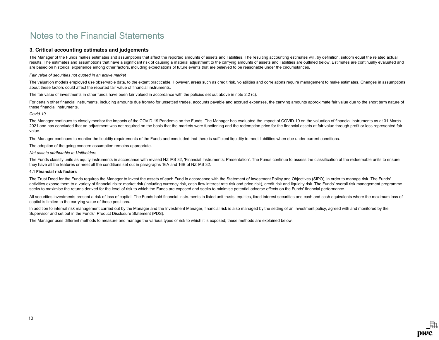# 3. Critical accounting estimates and judgements

The Manager of the Funds makes estimates and assumptions that affect the reported amounts of assets and liabilities. The resulting accounting estimates will, by definition, seldom equal the related actual results. The estimates and assumptions that have a significant risk of causing a material adjustment to the carrying amounts of assets and liabilities are outlined below. Estimates are continually evaluated and are based on historical experience among other factors, including expectations of future events that are believed to be reasonable under the circumstances.

#### Fair value of securities not quoted in an active market

The valuation models employed use observable data, to the extent practicable. However, areas such as credit risk, volatilities and correlations require management to make estimates. Changes in assumptions about these factors could affect the reported fair value of financial instruments.

The fair value of investments in other funds have been fair valued in accordance with the policies set out above in note 2.2 (c).

For certain other financial instruments, including amounts due from/to for unsettled trades, accounts payable and accrued expenses, the carrying amounts approximate fair value due to the short term nature of these financial instruments.

Covid-19

The Manager continues to closely monitor the impacts of the COVID-19 Pandemic on the Funds. The Manager has evaluated the impact of COVID-19 on the valuation of financial instruments as at 31 March 2021 and has concluded that an adjustment was not required on the basis that the markets were functioning and the redemption price for the financial assets at fair value through profit or loss represented fair value.

The Manager continues to monitor the liquidity requirements of the Funds and concluded that there is sufficient liquidity to meet liabilities when due under current conditions.

The adoption of the going concern assumption remains appropriate.

#### Net assets attributable to Unitholders

The Funds classify units as equity instruments in accordance with revised NZ IAS 32. 'Financial Instruments: Presentation'. The Funds continue to assess the classification of the redeemable units to ensure they have all the features or meet all the conditions set out in paragraphs 16A and 16B of NZ IAS 32.

### 4.1 Financial risk factors

The Trust Deed for the Funds requires the Manager to invest the assets of each Fund in accordance with the Statement of Investment Policy and Objectives (SIPO), in order to manage risk. The Funds' activities expose them to a variety of financial risks: market risk (including currency risk, cash flow interest rate risk and price risk), credit risk and liquidity risk. The Funds' overall risk management programme seeks to maximise the returns derived for the level of risk to which the Funds are exposed and seeks to minimise potential adverse effects on the Funds' financial performance.

All securities investments present a risk of loss of capital. The Funds hold financial instruments in listed unit trusts, equities, fixed interest securities and cash and cash equivalents where the maximum loss of capital is limited to the carrying value of those positions.

In addition to internal risk management carried out by the Manager and the Investment Manager, financial risk is also managed by the setting of an investment policy, agreed with and monitored by the Supervisor and set out in the Funds' Product Disclosure Statement (PDS).

The Manager uses different methods to measure and manage the various types of risk to which it is exposed; these methods are explained below.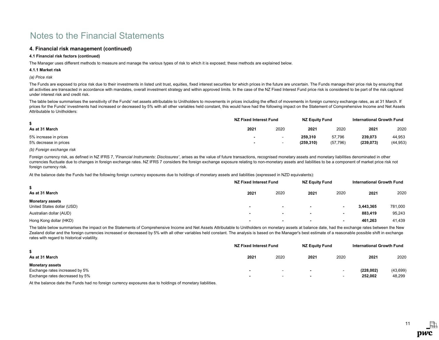# 4. Financial risk management (continued)

### 4.1 Financial risk factors (continued)

The Manager uses different methods to measure and manage the various types of risk to which it is exposed; these methods are explained below.

#### 4.1.1 Market risk

# (a) Price risk

The Funds are exposed to price risk due to their investments in listed unit trust, equities, fixed interest securities for which prices in the future are uncertain. The Funds manage their price risk by ensuring that all activities are transacted in accordance with mandates, overall investment strategy and within approved limits. In the case of the NZ Fixed Interest Fund price risk is considered to be part of the risk captured under interest risk and credit risk.

The table below summarises the sensitivity of the Funds' net assets attributable to Unitholders to movements in prices including the effect of movements in foreign currency exchange rates, as at 31 March. If prices for the Funds' investments had increased or decreased by 5% with all other variables held constant, this would have had the following impact on the Statement of Comprehensive Income and Net Assets Attributable to Unitholders:

|                                                | NZ Fixed Interest Fund |                                 | NZ Equity Fund        |                     | <b>International Growth Fund</b> |                     |
|------------------------------------------------|------------------------|---------------------------------|-----------------------|---------------------|----------------------------------|---------------------|
| As at 31 March                                 | 2021                   | 2020                            | 2021                  | 2020                | 2021                             | 2020                |
| 5% increase in prices<br>5% decrease in prices | . .<br>. .             | $\overline{\phantom{a}}$<br>. . | 259.310<br>(259, 310) | 57,796<br>(57, 796) | 239,073<br>(239, 073)            | 44,953<br>(44, 953) |

### (b) Foreign exchange risk

Foreign currency risk, as defined in NZ IFRS 7, 'Financial Instruments: Disclosures', arises as the value of future transactions, recognised monetary assets and monetary liabilities denominated in other currencies fluctuate due to changes in foreign exchange rates. NZ IFRS 7 considers the foreign exchange exposure relating to non-monetary assets and liabilities to be a component of market price risk not foreign currency risk.

At the balance date the Funds had the following foreign currency exposures due to holdings of monetary assets and liabilities (expressed in NZD equivalents):

|                            |                          | NZ Fixed Interest Fund   |                          | <b>NZ Equity Fund</b>    |           | <b>International Growth Fund</b> |  |
|----------------------------|--------------------------|--------------------------|--------------------------|--------------------------|-----------|----------------------------------|--|
| As at 31 March             | 2021                     | 2020                     | 2021                     | 2020                     | 2021      | 2020                             |  |
| <b>Monetary assets</b>     |                          |                          |                          |                          |           |                                  |  |
| United States dollar (USD) | $\overline{\phantom{a}}$ | $\overline{\phantom{0}}$ |                          |                          | 3,443,365 | 781,000                          |  |
| Australian dollar (AUD)    | $\overline{\phantom{a}}$ | $\overline{\phantom{0}}$ |                          | $\overline{\phantom{a}}$ | 883,419   | 95,243                           |  |
| Hong Kong dollar (HKD)     | $\overline{\phantom{a}}$ | $\overline{\phantom{0}}$ | $\overline{\phantom{0}}$ | $\blacksquare$           | 461.263   | 41,439                           |  |

The table below summarises the impact on the Statements of Comprehensive Income and Net Assets Attributable to Unitholders on monetary assets at balance date, had the exchange rates between the New Zealand dollar and the foreign currencies increased or decreased by 5% with all other variables held constant. The analysis is based on the Manager's best estimate of a reasonable possible shift in exchange rates with regard to historical volatility.

|                                                                                            | NZ Fixed Interest Fund | NZ Equity Fund                                       |                          | International Growth Fund                            |                      |                    |
|--------------------------------------------------------------------------------------------|------------------------|------------------------------------------------------|--------------------------|------------------------------------------------------|----------------------|--------------------|
| As at 31 March                                                                             | 2021                   | 2020                                                 | 2021                     | 2020                                                 | 2021                 | 2020               |
| <b>Monetary assets</b><br>Exchange rates increased by 5%<br>Exchange rates decreased by 5% | . .                    | $\overline{\phantom{0}}$<br>$\overline{\phantom{a}}$ | $\overline{\phantom{0}}$ | $\overline{\phantom{0}}$<br>$\overline{\phantom{0}}$ | (228,002)<br>252,002 | (43,699)<br>48,299 |

At the balance date the Funds had no foreign currency exposures due to holdings of monetary liabilities.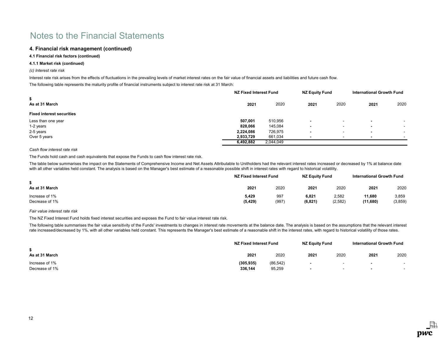# 4. Financial risk management (continued)

# 4.1 Financial risk factors (continued)

### 4.1.1 Market risk (continued)

### (c) Interest rate risk

Interest rate risk arises from the effects of fluctuations in the prevailing levels of market interest rates on the fair value of financial assets and liabilities and future cash flow.

The following table represents the maturity profile of financial instruments subject to interest rate risk at 31 March:

|                                  |           | NZ Fixed Interest Fund |      | NZ Equity Fund           |                          | <b>International Growth Fund</b> |
|----------------------------------|-----------|------------------------|------|--------------------------|--------------------------|----------------------------------|
| \$<br>As at 31 March             | 2021      | 2020                   | 2021 | 2020                     | 2021                     | 2020                             |
| <b>Fixed interest securities</b> |           |                        |      |                          |                          |                                  |
| Less than one year               | 507,001   | 510,956                |      | -                        |                          | $\sim$                           |
| 1-2 years                        | 828,066   | 145,084                |      | $\overline{\phantom{a}}$ | -                        | $\overline{\phantom{a}}$         |
| 2-5 years                        | 2,224,086 | 726,975                |      | $\overline{\phantom{0}}$ | $\overline{\phantom{a}}$ | $\overline{\phantom{a}}$         |
| Over 5 years                     | 2,933,729 | 661,034                |      | -                        |                          | $\overline{\phantom{a}}$         |
|                                  | 6,492,882 | 2,044,049              |      |                          |                          |                                  |

# Cash flow interest rate risk

The Funds hold cash and cash equivalents that expose the Funds to cash flow interest rate risk.

The table below summarises the impact on the Statements of Comprehensive Income and Net Assets Attributable to Unitholders had the relevant interest rates increased or decreased by 1% at balance date with all other variables held constant. The analysis is based on the Manager's best estimate of a reasonable possible shift in interest rates with regard to historical volatility.

|                                  |                   | NZ Fixed Interest Fund |                   |                  | International Growth Fund |                  |
|----------------------------------|-------------------|------------------------|-------------------|------------------|---------------------------|------------------|
| As at 31 March                   | 2021              | 2020                   | 2021              | 2020             | 2021                      | 2020             |
| Increase of 1%<br>Decrease of 1% | 5.429<br>(5, 429) | 997<br>(997)           | 6.821<br>(6, 821) | 2,582<br>(2,582) | 11.680<br>(11,680)        | 3,859<br>(3,859) |

# Fair value interest rate risk

The NZ Fixed Interest Fund holds fixed interest securities and exposes the Fund to fair value interest rate risk.

The following table summarises the fair value sensitivity of the Funds' investments to changes in interest rate movements at the balance date. The analysis is based on the assumptions that the relevant interest rate increased/decreased by 1%, with all other variables held constant. This represents the Manager's best estimate of a reasonable shift in the interest rates, with regard to historical volatility of those rates.

|                | NZ Fixed Interest Fund | <b>NZ Equity Fund</b> |                | <b>International Growth Fund</b> |                          |        |
|----------------|------------------------|-----------------------|----------------|----------------------------------|--------------------------|--------|
| As at 31 March | 2021                   | 2020                  | 2021           | 2020                             | 2021                     | 2020   |
| Increase of 1% | (305, 935)             | (86, 542)             | $\blacksquare$ | $\sim$                           | $\overline{\phantom{a}}$ | $\sim$ |
| Decrease of 1% | 336,144                | 95,259                | $\blacksquare$ | $\overline{\phantom{0}}$         | $\overline{\phantom{0}}$ |        |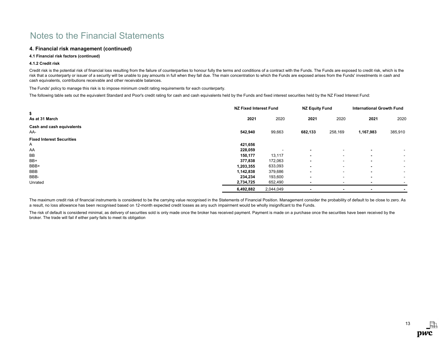# 4. Financial risk management (continued)

# 4.1 Financial risk factors (continued)

### 4.1.2 Credit risk

Credit risk is the potential risk of financial loss resulting from the failure of counterparties to honour fully the terms and conditions of a contract with the Funds. The Funds are exposed to credit risk, which is the risk that a counterparty or issuer of a security will be unable to pay amounts in full when they fall due. The main concentration to which the Funds are exposed arises from the Funds' investments in cash and cash equivalents, contributions receivable and other receivable balances.

The Funds' policy to manage this risk is to impose minimum credit rating requirements for each counterparty.

The following table sets out the equivalent Standard and Poor's credit rating for cash and cash equivalents held by the Funds and fixed interest securities held by the NZ Fixed Interest Fund:

|                                  | <b>NZ Fixed Interest Fund</b> |           | <b>NZ Equity Fund</b>    |                          | <b>International Growth Fund</b> |                          |
|----------------------------------|-------------------------------|-----------|--------------------------|--------------------------|----------------------------------|--------------------------|
| \$<br>As at 31 March             | 2021                          | 2020      | 2021                     | 2020                     | 2021                             | 2020                     |
| Cash and cash equivalents<br>AA- | 542,940                       | 99,663    | 682,133                  | 258,169                  | 1,167,983                        | 385,910                  |
| <b>Fixed Interest Securities</b> |                               |           |                          |                          |                                  |                          |
| Α                                | 421,656                       |           |                          |                          |                                  |                          |
| AA                               | 228,059                       |           |                          | $\sim$                   | $\overline{\phantom{0}}$         | $\sim$                   |
| BB                               | 150,177                       | 13,117    | $\overline{\phantom{a}}$ | $\tilde{\phantom{a}}$    | $\overline{\phantom{0}}$         | $\sim$                   |
| BB+                              | 377,838                       | 172,063   | $\blacksquare$           | $\tilde{\phantom{a}}$    | $\overline{\phantom{0}}$         | $\overline{\phantom{a}}$ |
| BBB+                             | 1,203,355                     | 633,093   | $\blacksquare$           | $\tilde{\phantom{a}}$    | $\overline{\phantom{0}}$         | $\sim$                   |
| BBB                              | 1,142,838                     | 379,686   | $\overline{\phantom{a}}$ | $\tilde{\phantom{a}}$    | $\overline{\phantom{0}}$         | $\sim$                   |
| BBB-                             | 234,234                       | 193,600   | $\blacksquare$           | $\sim$                   | $\overline{\phantom{0}}$         | $\sim$                   |
| Unrated                          | 2,734,725                     | 652,490   |                          | $\overline{\phantom{a}}$ |                                  |                          |
|                                  | 6,492,882                     | 2,044,049 |                          | $\overline{\phantom{0}}$ | $\overline{\phantom{0}}$         | $\blacksquare$           |

The maximum credit risk of financial instruments is considered to be the carrying value recognised in the Statements of Financial Position. Management consider the probability of default to be close to zero. As a result, no loss allowance has been recognised based on 12-month expected credit losses as any such impairment would be wholly insignificant to the Funds.

The risk of default is considered minimal, as delivery of securities sold is only made once the broker has received payment. Payment is made on a purchase once the securities have been received by the broker. The trade will fail if either party fails to meet its obligation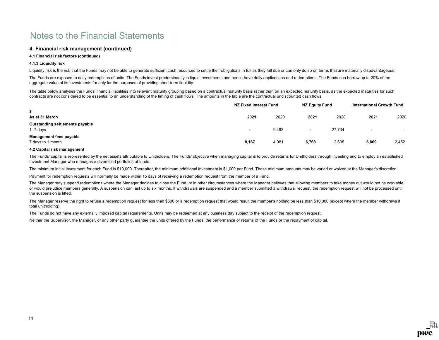# 4. Financial risk management (continued)

# 4.1 Financial risk factors (continued)

### 4.1.3 Liquidity risk

Liquidity risk is the risk that the Funds may not be able to generate sufficient cash resources to settle their obligations in full as they fall due or can only do so on terms that are materially disadvantageous.

The Funds are exposed to daily redemptions of units. The Funds invest predominantly in liquid investments and hence have daily applications and redemptions. The Funds can borrow up to 20% of the aggregate value of its investments for only for the purposes of providing short-term liquidity.

The table below analyses the Funds' financial liabilities into relevant maturity grouping based on a contractual maturity basis rather than on an expected maturity basis, as the expected maturities for such contracts are not considered to be essential to an understanding of the timing of cash flows. The amounts in the table are the contractual undiscounted cash flows.

|                                                     | NZ Fixed Interest Fund   |       | <b>NZ Equity Fund</b> |        | International Growth Fund |       |
|-----------------------------------------------------|--------------------------|-------|-----------------------|--------|---------------------------|-------|
| \$<br>As at 31 March                                | 2021                     | 2020  | 2021                  | 2020   | 2021                      | 2020  |
| Outstanding settlements payable<br>$1 - 7$ days     | $\overline{\phantom{a}}$ | 9,493 | $\sim$                | 27,734 | $\overline{\phantom{a}}$  |       |
| <b>Management fees payable</b><br>7 days to 1 month | 8,167                    | 4,081 | 6,768                 | 2,605  | 6,869                     | 2,452 |

#### 4.2 Capital risk management

The Funds' capital is represented by the net assets attributable to Unitholders. The Funds' objective when managing capital is to provide returns for Unitholders through investing and to employ an established Investment Manager who manages a diversified portfolios of funds.

The minimum initial investment for each Fund is \$10,000. Thereafter, the minimum additional investment is \$1,000 per Fund. These minimum amounts may be varied or waived at the Manager's discretion.

Payment for redemption requests will normally be made within 15 days of receiving a redemption request from the member of a Fund.

The Manager may suspend redemptions where the Manager decides to close the Fund, or in other circumstances where the Manager believes that allowing members to take money out would not be workable, or would prejudice members generally. A suspension can last up to six months. If withdrawals are suspended and a member submitted a withdrawal request, the redemption request will not be processed until the suspension is lifted.

The Manager reserve the right to refuse a redemption request for less than \$500 or a redemption request that would result the member's holding be less than \$10,000 (except where the member withdraws it total unitholding).

The Funds do not have any externally imposed capital requirements. Units may be redeemed at any business day subject to the receipt of the redemption request.

Neither the Supervisor, the Manager, or any other party guarantee the units offered by the Funds, the performance or returns of the Funds or the repayment of capital.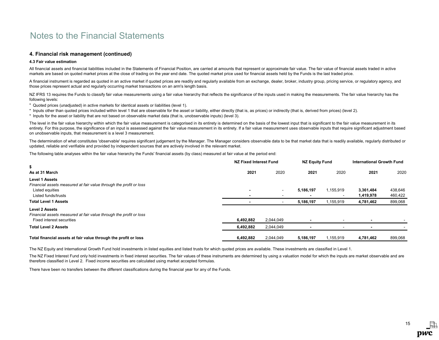# 4. Financial risk management (continued)

### 4.3 Fair value estimation

All financial assets and financial liabilities included in the Statements of Financial Position, are carried at amounts that represent or approximate fair value. The fair value of financial assets traded in active markets are based on quoted market prices at the close of trading on the year end date. The quoted market price used for financial assets held by the Funds is the last traded price.

A financial instrument is regarded as quoted in an active market if quoted prices are readily and regularly available from an exchange, dealer, broker, industry group, pricing service, or regulatory agency, and those prices represent actual and regularly occurring market transactions on an arm's length basis.

NZ IFRS 13 requires the Funds to classify fair value measurements using a fair value hierarchy that reflects the significance of the inputs used in making the measurements. The fair value hierarchy has the following levels:

\* Quoted prices (unadjusted) in active markets for identical assets or liabilities (level 1).

- \* Inputs other than quoted prices included within level 1 that are observable for the asset or liability, either directly (that is, as prices) or indirectly (that is, derived from prices) (level 2).
- \* Inputs for the asset or liability that are not based on observable market data (that is, unobservable inputs) (level 3).

The level in the fair value hierarchy within which the fair value measurement is categorised in its entirety is determined on the basis of the lowest input that is significant to the fair value measurement in its entirety. For this purpose, the significance of an input is assessed against the fair value measurement in its entirety. If a fair value measurement uses observable inputs that require significant adjustment based on unobservable inputs, that measurement is a level 3 measurement.

The determination of what constitutes 'observable' requires significant judgement by the Manager. The Manager considers observable data to be that market data that is readily available, regularly distributed or updated, reliable and verifiable and provided by independent sources that are actively involved in the relevant market.

The following table analyses within the fair value hierarchy the Funds' financial assets (by class) measured at fair value at the period end:

|                                                                                             | NZ Fixed Interest Fund |                          | <b>NZ Equity Fund</b> |           | <b>International Growth Fund</b> |         |
|---------------------------------------------------------------------------------------------|------------------------|--------------------------|-----------------------|-----------|----------------------------------|---------|
| \$<br>As at 31 March                                                                        | 2021                   | 2020                     | 2021                  | 2020      | 2021                             | 2020    |
| <b>Level 1 Assets</b><br>Financial assets measured at fair value through the profit or loss |                        |                          |                       |           |                                  |         |
| Listed equities                                                                             |                        | $\overline{\phantom{a}}$ | 5,186,197             | 1,155,919 | 3,361,484                        | 438,646 |
| Listed funds/trusts                                                                         |                        |                          |                       |           | 1,419,978                        | 460,422 |
| <b>Total Level 1 Assets</b>                                                                 |                        |                          | 5,186,197             | 1,155,919 | 4,781,462                        | 899,068 |
| <b>Level 2 Assets</b><br>Financial assets measured at fair value through the profit or loss |                        |                          |                       |           |                                  |         |
| Fixed interest securities                                                                   | 6,492,882              | 2,044,049                |                       |           |                                  |         |
| <b>Total Level 2 Assets</b>                                                                 | 6,492,882              | 2,044,049                |                       |           |                                  |         |
| Total financial assets at fair value through the profit or loss                             | 6,492,882              | 2,044,049                | 5,186,197             | 1,155,919 | 4,781,462                        | 899,068 |

The NZ Equity and International Growth Fund hold investments in listed equities and listed trusts for which quoted prices are available. These investments are classified in Level 1.

The NZ Fixed Interest Fund only hold investments in fixed interest securities. The fair values of these instruments are determined by using a valuation model for which the inputs are market observable and are therefore classified in Level 2. Fixed income securities are calculated using market accepted formulas.

There have been no transfers between the different classifications during the financial year for any of the Funds.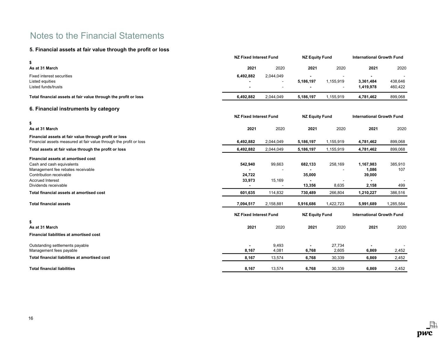# 5. Financial assets at fair value through the profit or loss

|                                                                                                                                 | <b>NZ Fixed Interest Fund</b> |                               | <b>NZ Equity Fund</b> |                       | <b>International Growth Fund</b> |                                  |  |
|---------------------------------------------------------------------------------------------------------------------------------|-------------------------------|-------------------------------|-----------------------|-----------------------|----------------------------------|----------------------------------|--|
| \$<br>As at 31 March                                                                                                            | 2021                          | 2020                          | 2021                  | 2020                  | 2021                             | 2020                             |  |
|                                                                                                                                 |                               |                               |                       |                       |                                  |                                  |  |
| <b>Fixed interest securities</b><br>Listed equities                                                                             | 6,492,882                     | 2,044,049                     | 5,186,197             | 1,155,919             | 3,361,484                        | 438,646                          |  |
| Listed funds/trusts                                                                                                             |                               |                               |                       |                       | 1,419,978                        | 460,422                          |  |
| Total financial assets at fair value through the profit or loss                                                                 | 6,492,882                     | 2,044,049                     | 5,186,197             | 1,155,919             | 4,781,462                        | 899,068                          |  |
| 6. Financial instruments by category                                                                                            |                               |                               |                       |                       |                                  |                                  |  |
|                                                                                                                                 | <b>NZ Fixed Interest Fund</b> |                               | <b>NZ Equity Fund</b> |                       | <b>International Growth Fund</b> |                                  |  |
| \$                                                                                                                              |                               |                               |                       |                       |                                  |                                  |  |
| As at 31 March                                                                                                                  | 2021                          | 2020                          | 2021                  | 2020                  | 2021                             | 2020                             |  |
| Financial assets at fair value through profit or loss<br>Financial assets measured at fair value through the profit or loss     | 6,492,882                     | 2,044,049                     | 5,186,197             | 1,155,919             | 4,781,462                        | 899,068                          |  |
| Total assets at fair value through the profit or loss                                                                           | 6,492,882                     | 2,044,049                     | 5,186,197             | 1,155,919             | 4,781,462                        | 899,068                          |  |
| Financial assets at amortised cost<br>Cash and cash equivalents<br>Management fee rebates receivable<br>Contribution receivable | 542,940                       | 99,663                        | 682,133               | 258,169               | 1,167,983<br>1,086               | 385,910<br>107                   |  |
| <b>Accrued Interest</b>                                                                                                         | 24,722<br>33,973              | 15,169                        | 35,000                |                       | 39,000                           |                                  |  |
| Dividends receivable                                                                                                            |                               |                               | 13,356                | 8,635                 | 2,158                            | 499                              |  |
| Total financial assets at amortised cost                                                                                        | 601,635                       | 114,832                       | 730,489               | 266,804               | 1,210,227                        | 386,516                          |  |
| <b>Total financial assets</b>                                                                                                   | 7,094,517                     | 2,158,881                     | 5,916,686             | 1,422,723             | 5,991,689                        | 1,285,584                        |  |
|                                                                                                                                 |                               | <b>NZ Fixed Interest Fund</b> |                       | <b>NZ Equity Fund</b> |                                  | <b>International Growth Fund</b> |  |
| \$                                                                                                                              |                               |                               |                       |                       |                                  |                                  |  |
| As at 31 March                                                                                                                  | 2021                          | 2020                          | 2021                  | 2020                  | 2021                             | 2020                             |  |
| <b>Financial liabilities at amortised cost</b>                                                                                  |                               |                               |                       |                       |                                  |                                  |  |
| Outstanding settlements payable<br>Management fees payable                                                                      | 8,167                         | 9,493<br>4,081                | 6,768                 | 27,734<br>2,605       | 6,869                            | 2,452                            |  |
| Total financial liabilities at amortised cost                                                                                   | 8,167                         | 13,574                        | 6,768                 | 30,339                | 6,869                            | 2,452                            |  |
| <b>Total financial liabilities</b>                                                                                              | 8,167                         | 13,574                        | 6,768                 | 30,339                | 6,869                            | 2,452                            |  |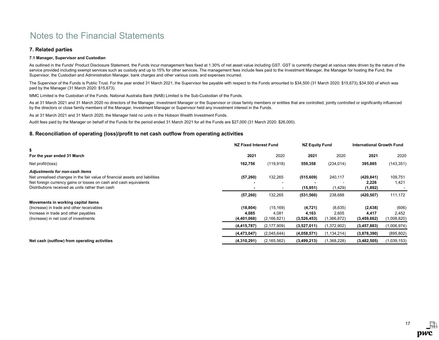# 7. Related parties

# 7.1 Manager, Supervisor and Custodian

As outlined in the Funds' Product Disclosure Statement, the Funds incur management fees fixed at 1.30% of net asset value including GST. GST is currently charged at various rates driven by the nature of the service provided including exempt services such as custody and up to 15% for other services. The management fees include fees paid to the Investment Manager, the Manager for hosting the Fund, the Supervisor, the Custodian and Administration Manager, bank charges and other various costs and expenses incurred.

The Supervisor of the Funds is Public Trust. For the year ended 31 March 2021, the Supervisor fee payable with respect to the Funds amounted to \$34,500 (31 March 2020: \$15,673), \$34,500 of which was paid by the Manager (31 March 2020: \$15,673).

MMC Limited is the Custodian of the Funds. National Australia Bank (NAB) Limited is the Sub-Custodian of the Funds.

As at 31 March 2021 and 31 March 2020 no directors of the Manager, Investment Manager or the Supervisor or close family members or entities that are controlled, jointly controlled or significantly influenced by the directors or close family members of the Manager, Investment Manager or Supervisor held any investment interest in the Funds.

As at 31 March 2021 and 31 March 2020, the Manager held no units in the Hobson Wealth Investment Funds.

Audit fees paid by the Manager on behalf of the Funds for the period ended 31 March 2021 for all the Funds are \$27,000 (31 March 2020: \$26,000).

# 8. Reconciliation of operating (loss)/profit to net cash outflow from operating activities

|                                                                                                                                                                                                                                         | NZ Fixed Interest Fund            |                                     | <b>NZ Equity Fund</b>            |                                 | <b>International Growth Fund</b> |                               |
|-----------------------------------------------------------------------------------------------------------------------------------------------------------------------------------------------------------------------------------------|-----------------------------------|-------------------------------------|----------------------------------|---------------------------------|----------------------------------|-------------------------------|
| \$<br>For the year ended 31 March                                                                                                                                                                                                       | 2021                              | 2020                                | 2021                             | 2020                            | 2021                             | 2020                          |
| Net profit/(loss)                                                                                                                                                                                                                       | 162,756                           | (119, 918)                          | 559,358                          | (234, 014)                      | 395,885                          | (143, 351)                    |
| Adjustments for non-cash items<br>Net unrealised changes in the fair value of financial assets and liabilities<br>Net foreign currency gains or losses on cash and cash equivalents<br>Distributions received as units rather than cash | (57, 260)                         | 132,265                             | (515, 609)<br>(15, 951)          | 240,117<br>(1,429)              | (420,841)<br>2,226<br>(1,892)    | 109,751<br>1,421              |
|                                                                                                                                                                                                                                         | (57, 260)                         | 132,265                             | (531, 560)                       | 238,688                         | (420, 507)                       | 111,172                       |
| Movements in working capital items<br>(Increase) in trade and other receivables<br>Increase in trade and other payables<br>(Increase) in net cost of investments                                                                        | (18, 804)<br>4,085<br>(4,401,068) | (15, 169)<br>4,081<br>(2, 166, 821) | (4, 721)<br>4,163<br>(3,526,453) | (8,635)<br>2,605<br>(1,366,872) | (2,638)<br>4,417<br>(3,459,662)  | (606)<br>2,452<br>(1,008,820) |
|                                                                                                                                                                                                                                         | (4, 415, 787)                     | (2, 177, 909)                       | (3,527,011)                      | (1,372,902)                     | (3, 457, 883)                    | (1,006,974)                   |
|                                                                                                                                                                                                                                         | (4, 473, 047)                     | (2,045,644)                         | (4,058,571)                      | (1, 134, 214)                   | (3,878,390)                      | (895, 802)                    |
| Net cash (outflow) from operating activities                                                                                                                                                                                            | (4,310,291)                       | (2, 165, 562)                       | (3,499,213)                      | (1,368,228)                     | (3,482,505)                      | (1,039,153)                   |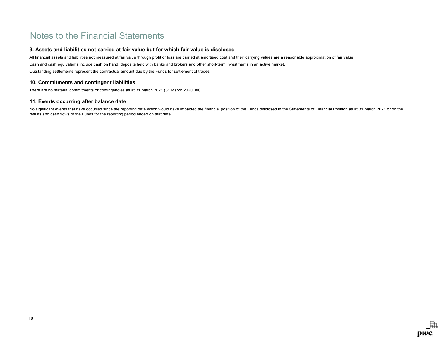# 9. Assets and liabilities not carried at fair value but for which fair value is disclosed

Cash and cash equivalents include cash on hand, deposits held with banks and brokers and other short-term investments in an active market. Outstanding settlements represent the contractual amount due by the Funds for settlement of trades. All financial assets and liabilities not measured at fair value through profit or loss are carried at amortised cost and their carrying values are a reasonable approximation of fair value.

# 10. Commitments and contingent liabilities

There are no material commitments or contingencies as at 31 March 2021 (31 March 2020: nil).

# 11. Events occurring after balance date

No significant events that have occurred since the reporting date which would have impacted the financial position of the Funds disclosed in the Statements of Financial Position as at 31 March 2021 or on the results and cash flows of the Funds for the reporting period ended on that date.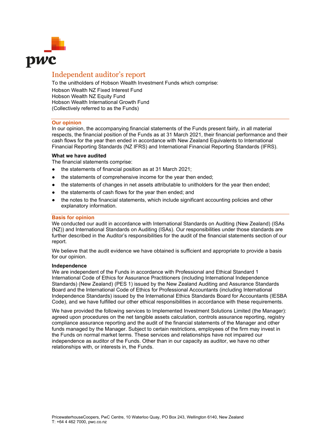

# Independent auditor's report

To the unitholders of Hobson Wealth Investment Funds which comprise:

Hobson Wealth NZ Fixed Interest Fund Hobson Wealth NZ Equity Fund Hobson Wealth International Growth Fund (Collectively referred to as the Funds)

# **Our opinion**

In our opinion, the accompanying financial statements of the Funds present fairly, in all material respects, the financial position of the Funds as at 31 March 2021, their financial performance and their cash flows for the year then ended in accordance with New Zealand Equivalents to International Financial Reporting Standards (NZ IFRS) and International Financial Reporting Standards (IFRS).

# **What we have audited**

The financial statements comprise:

- the statements of financial position as at 31 March 2021;
- the statements of comprehensive income for the year then ended:
- the statements of changes in net assets attributable to unitholders for the year then ended;
- the statements of cash flows for the year then ended; and
- the notes to the financial statements, which include significant accounting policies and other explanatory information.

# **Basis for opinion**

We conducted our audit in accordance with International Standards on Auditing (New Zealand) (ISAs (NZ)) and International Standards on Auditing (ISAs). Our responsibilities under those standards are further described in the Auditor's responsibilities for the audit of the financial statements section of our report.

We believe that the audit evidence we have obtained is sufficient and appropriate to provide a basis for our opinion.

# **Independence**

We are independent of the Funds in accordance with Professional and Ethical Standard 1 International Code of Ethics for Assurance Practitioners (including International Independence Standards) (New Zealand) (PES 1) issued by the New Zealand Auditing and Assurance Standards Board and the International Code of Ethics for Professional Accountants (including International Independence Standards) issued by the International Ethics Standards Board for Accountants (IESBA Code), and we have fulfilled our other ethical responsibilities in accordance with these requirements.

We have provided the following services to Implemented Investment Solutions Limited (the Manager): agreed upon procedures on the net tangible assets calculation, controls assurance reporting, registry compliance assurance reporting and the audit of the financial statements of the Manager and other funds managed by the Manager. Subject to certain restrictions, employees of the firm may invest in the Funds on normal market terms. These services and relationships have not impaired our independence as auditor of the Funds. Other than in our capacity as auditor, we have no other relationships with, or interests in, the Funds.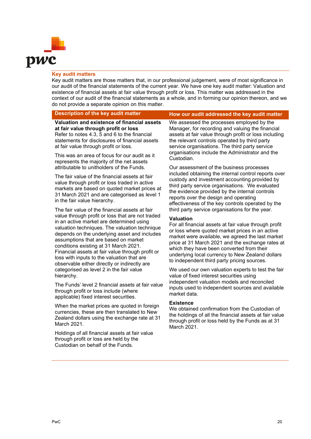

# **Key audit matters**

Key audit matters are those matters that, in our professional judgement, were of most significance in our audit of the financial statements of the current year. We have one key audit matter: Valuation and existence of financial assets at fair value through profit or loss. This matter was addressed in the context of our audit of the financial statements as a whole, and in forming our opinion thereon, and we do not provide a separate opinion on this matter.

# **Description of the key audit matter How our audit addressed the key audit matter**

**Valuation and existence of financial assets at fair value through profit or loss** Refer to notes 4.3, 5 and 6 to the financial statements for disclosures of financial assets at fair value through profit or loss.

This was an area of focus for our audit as it represents the majority of the net assets attributable to unitholders of the Funds.

The fair value of the financial assets at fair value through profit or loss traded in active markets are based on quoted market prices at 31 March 2021 and are categorised as level 1 in the fair value hierarchy.

The fair value of the financial assets at fair value through profit or loss that are not traded in an active market are determined using valuation techniques. The valuation technique depends on the underlying asset and includes assumptions that are based on market conditions existing at 31 March 2021. Financial assets at fair value through profit or loss with inputs to the valuation that are observable either directly or indirectly are categorised as level 2 in the fair value hierarchy.

The Funds' level 2 financial assets at fair value through profit or loss include (where applicable) fixed interest securities.

When the market prices are quoted in foreign currencies, these are then translated to New Zealand dollars using the exchange rate at 31 March 2021.

Holdings of all financial assets at fair value through profit or loss are held by the Custodian on behalf of the Funds.

We assessed the processes employed by the Manager, for recording and valuing the financial assets at fair value through profit or loss including the relevant controls operated by third party service organisations. The third party service organisations include the Administrator and the Custodian.

Our assessment of the business processes included obtaining the internal control reports over custody and investment accounting provided by third party service organisations. We evaluated the evidence provided by the internal controls reports over the design and operating effectiveness of the key controls operated by the third party service organisations for the year.

# **Valuation**

For all financial assets at fair value through profit or loss where quoted market prices in an active market were available, we agreed the last market price at 31 March 2021 and the exchange rates at which they have been converted from their underlying local currency to New Zealand dollars to independent third party pricing sources.

We used our own valuation experts to test the fair value of fixed interest securities using independent valuation models and reconciled inputs used to independent sources and available market data.

# **Existence**

We obtained confirmation from the Custodian of the holdings of all the financial assets at fair value through profit or loss held by the Funds as at 31 March 2021.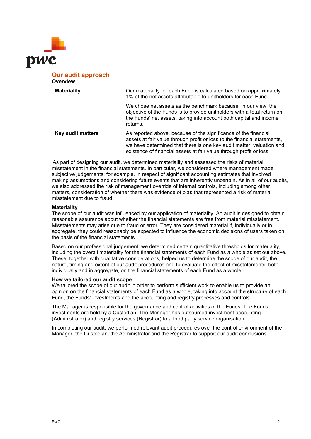

| <b>Our audit approach</b><br>Overview |                                                                                                                                                                                                                                                                                            |
|---------------------------------------|--------------------------------------------------------------------------------------------------------------------------------------------------------------------------------------------------------------------------------------------------------------------------------------------|
| <b>Materiality</b>                    | Our materiality for each Fund is calculated based on approximately<br>1% of the net assets attributable to unitholders for each Fund.                                                                                                                                                      |
|                                       | We chose net assets as the benchmark because, in our view, the<br>objective of the Funds is to provide unitholders with a total return on<br>the Funds' net assets, taking into account both capital and income<br>returns.                                                                |
| Key audit matters                     | As reported above, because of the significance of the financial<br>assets at fair value through profit or loss to the financial statements,<br>we have determined that there is one key audit matter: valuation and<br>existence of financial assets at fair value through profit or loss. |

As part of designing our audit, we determined materiality and assessed the risks of material misstatement in the financial statements. In particular, we considered where management made subjective judgements; for example, in respect of significant accounting estimates that involved making assumptions and considering future events that are inherently uncertain. As in all of our audits, we also addressed the risk of management override of internal controls, including among other matters, consideration of whether there was evidence of bias that represented a risk of material misstatement due to fraud.

# **Materiality**

The scope of our audit was influenced by our application of materiality. An audit is designed to obtain reasonable assurance about whether the financial statements are free from material misstatement. Misstatements may arise due to fraud or error. They are considered material if, individually or in aggregate, they could reasonably be expected to influence the economic decisions of users taken on the basis of the financial statements.

Based on our professional judgement, we determined certain quantitative thresholds for materiality, including the overall materiality for the financial statements of each Fund as a whole as set out above. These, together with qualitative considerations, helped us to determine the scope of our audit, the nature, timing and extent of our audit procedures and to evaluate the effect of misstatements, both individually and in aggregate, on the financial statements of each Fund as a whole.

# **How we tailored our audit scope**

We tailored the scope of our audit in order to perform sufficient work to enable us to provide an opinion on the financial statements of each Fund as a whole, taking into account the structure of each Fund, the Funds' investments and the accounting and registry processes and controls.

The Manager is responsible for the governance and control activities of the Funds. The Funds' investments are held by a Custodian. The Manager has outsourced investment accounting (Administrator) and registry services (Registrar) to a third party service organisation.

In completing our audit, we performed relevant audit procedures over the control environment of the Manager, the Custodian, the Administrator and the Registrar to support our audit conclusions.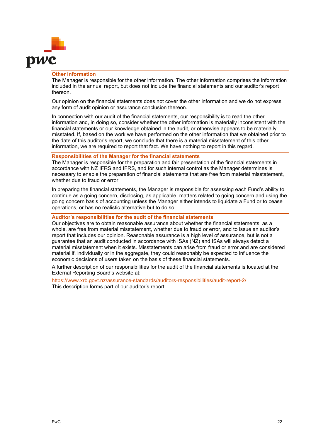

# **Other information**

The Manager is responsible for the other information. The other information comprises the information included in the annual report, but does not include the financial statements and our auditor's report thereon.

Our opinion on the financial statements does not cover the other information and we do not express any form of audit opinion or assurance conclusion thereon.

In connection with our audit of the financial statements, our responsibility is to read the other information and, in doing so, consider whether the other information is materially inconsistent with the financial statements or our knowledge obtained in the audit, or otherwise appears to be materially misstated. If, based on the work we have performed on the other information that we obtained prior to the date of this auditor's report, we conclude that there is a material misstatement of this other information, we are required to report that fact. We have nothing to report in this regard.

# **Responsibilities of the Manager for the financial statements**

The Manager is responsible for the preparation and fair presentation of the financial statements in accordance with NZ IFRS and IFRS, and for such internal control as the Manager determines is necessary to enable the preparation of financial statements that are free from material misstatement, whether due to fraud or error.

In preparing the financial statements, the Manager is responsible for assessing each Fund's ability to continue as a going concern, disclosing, as applicable, matters related to going concern and using the going concern basis of accounting unless the Manager either intends to liquidate a Fund or to cease operations, or has no realistic alternative but to do so.

# **Auditor's responsibilities for the audit of the financial statements**

Our objectives are to obtain reasonable assurance about whether the financial statements, as a whole, are free from material misstatement, whether due to fraud or error, and to issue an auditor's report that includes our opinion. Reasonable assurance is a high level of assurance, but is not a guarantee that an audit conducted in accordance with ISAs (NZ) and ISAs will always detect a material misstatement when it exists. Misstatements can arise from fraud or error and are considered material if, individually or in the aggregate, they could reasonably be expected to influence the economic decisions of users taken on the basis of these financial statements.

A further description of our responsibilities for the audit of the financial statements is located at the External Reporting Board's website at:

https://www.xrb.govt.nz/assurance-standards/auditors-responsibilities/audit-report-2/ This description forms part of our auditor's report.